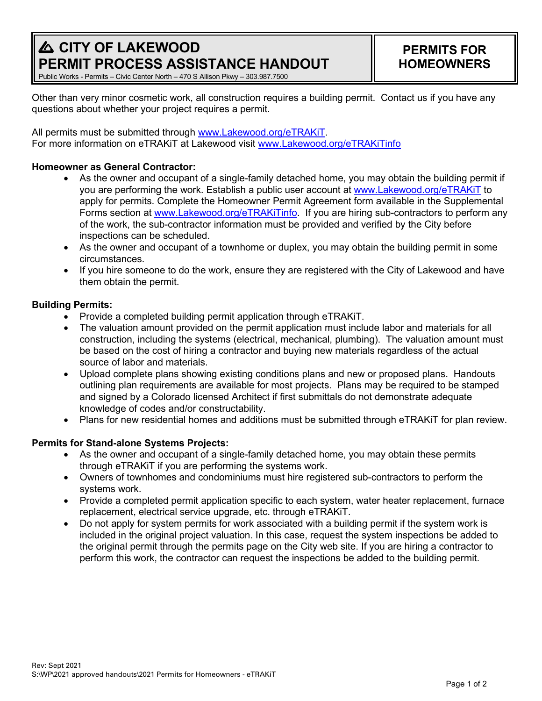# **A CITY OF LAKEWOOD PERMIT PROCESS ASSISTANCE HANDOUT**

# **PERMITS FOR HOMEOWNERS**

Public Works - Permits – Civic Center North – 470 S Allison Pkwy – 303.987.7500

Other than very minor cosmetic work, all construction requires a building permit. Contact us if you have any questions about whether your project requires a permit.

All permits must be submitted through [www.Lakewood.org/eTRAKiT.](http://www.lakewood.org/eTRAKiT) For more information on eTRAKiT at Lakewood visit [www.Lakewood.org/eTRAKiTinfo](http://www.lakewood.org/eTRAKiTinfo)

## **Homeowner as General Contractor:**

- As the owner and occupant of a single-family detached home, you may obtain the building permit if you are performing the work. Establish a public user account at [www.Lakewood.org/eTRAKiT](http://www.lakewood.org/eTRAKiT) to apply for permits. Complete the Homeowner Permit Agreement form available in the Supplemental Forms section at [www.Lakewood.org/eTRAKiTinfo.](http://www.lakewood.org/eTRAKiTinfo) If you are hiring sub-contractors to perform any of the work, the sub-contractor information must be provided and verified by the City before inspections can be scheduled.
- As the owner and occupant of a townhome or duplex, you may obtain the building permit in some circumstances.
- If you hire someone to do the work, ensure they are registered with the City of Lakewood and have them obtain the permit.

### **Building Permits:**

- Provide a completed building permit application through eTRAKiT.
- The valuation amount provided on the permit application must include labor and materials for all construction, including the systems (electrical, mechanical, plumbing). The valuation amount must be based on the cost of hiring a contractor and buying new materials regardless of the actual source of labor and materials.
- Upload complete plans showing existing conditions plans and new or proposed plans. Handouts outlining plan requirements are available for most projects. Plans may be required to be stamped and signed by a Colorado licensed Architect if first submittals do not demonstrate adequate knowledge of codes and/or constructability.
- Plans for new residential homes and additions must be submitted through eTRAKiT for plan review.

# **Permits for Stand-alone Systems Projects:**

- As the owner and occupant of a single-family detached home, you may obtain these permits through eTRAKiT if you are performing the systems work.
- Owners of townhomes and condominiums must hire registered sub-contractors to perform the systems work.
- Provide a completed permit application specific to each system, water heater replacement, furnace replacement, electrical service upgrade, etc. through eTRAKiT.
- Do not apply for system permits for work associated with a building permit if the system work is included in the original project valuation. In this case, request the system inspections be added to the original permit through the permits page on the City web site. If you are hiring a contractor to perform this work, the contractor can request the inspections be added to the building permit.